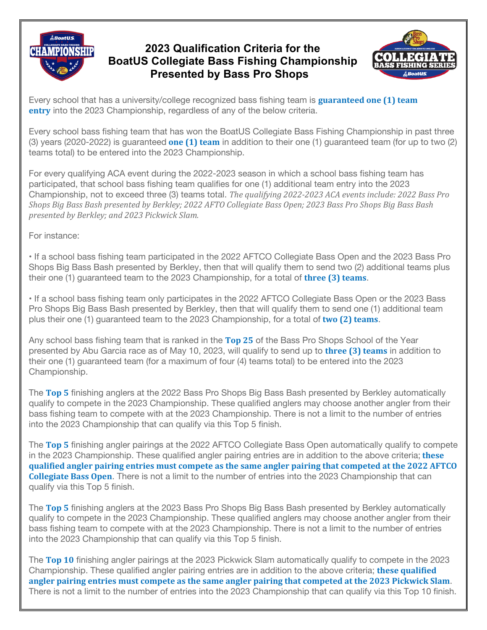## **CHAMPIONSHIP**

## **2023 Qualification Criteria for the BoatUS Collegiate Bass Fishing Championship Presented by Bass Pro Shops**



Every school that has a university/college recognized bass fishing team is **guaranteed one (1) team entry** into the 2023 Championship, regardless of any of the below criteria.

Every school bass fishing team that has won the BoatUS Collegiate Bass Fishing Championship in past three (3) years (2020-2022) is guaranteed **one (1) team** in addition to their one (1) guaranteed team (for up to two (2) teams total) to be entered into the 2023 Championship.

For every qualifying ACA event during the 2022-2023 season in which a school bass fishing team has participated, that school bass fishing team qualifies for one (1) additional team entry into the 2023 Championship, not to exceed three (3) teams total. *The qualifying 2022-2023 ACA events include: 2022 Bass Pro* Shops Big Bass Bash presented by Berkley; 2022 AFTO Collegiate Bass Open; 2023 Bass Pro Shops Big Bass Bash *presented by Berkley; and 2023 Pickwick Slam.*

For instance:

• If a school bass fishing team participated in the 2022 AFTCO Collegiate Bass Open and the 2023 Bass Pro Shops Big Bass Bash presented by Berkley, then that will qualify them to send two (2) additional teams plus their one (1) guaranteed team to the 2023 Championship, for a total of **three (3) teams**.

• If a school bass fishing team only participates in the 2022 AFTCO Collegiate Bass Open or the 2023 Bass Pro Shops Big Bass Bash presented by Berkley, then that will qualify them to send one (1) additional team plus their one (1) guaranteed team to the 2023 Championship, for a total of **two (2) teams**.

Any school bass fishing team that is ranked in the **Top 25** of the Bass Pro Shops School of the Year presented by Abu Garcia race as of May 10, 2023, will qualify to send up to **three (3) teams** in addition to their one (1) guaranteed team (for a maximum of four (4) teams total) to be entered into the 2023 Championship.

The **Top 5** finishing anglers at the 2022 Bass Pro Shops Big Bass Bash presented by Berkley automatically qualify to compete in the 2023 Championship. These qualified anglers may choose another angler from their bass fishing team to compete with at the 2023 Championship. There is not a limit to the number of entries into the 2023 Championship that can qualify via this Top 5 finish.

The **Top 5** finishing angler pairings at the 2022 AFTCO Collegiate Bass Open automatically qualify to compete in the 2023 Championship. These qualified angler pairing entries are in addition to the above criteria; **these qualified angler pairing entries must compete as the same angler pairing that competed at the 2022 AFTCO Collegiate Bass Open**. There is not a limit to the number of entries into the 2023 Championship that can qualify via this Top 5 finish.

The **Top 5** finishing anglers at the 2023 Bass Pro Shops Big Bass Bash presented by Berkley automatically qualify to compete in the 2023 Championship. These qualified anglers may choose another angler from their bass fishing team to compete with at the 2023 Championship. There is not a limit to the number of entries into the 2023 Championship that can qualify via this Top 5 finish.

The **Top 10** finishing angler pairings at the 2023 Pickwick Slam automatically qualify to compete in the 2023 Championship. These qualified angler pairing entries are in addition to the above criteria; **these qualified angler pairing entries must compete as the same angler pairing that competed at the 2023 Pickwick Slam**. There is not a limit to the number of entries into the 2023 Championship that can qualify via this Top 10 finish.